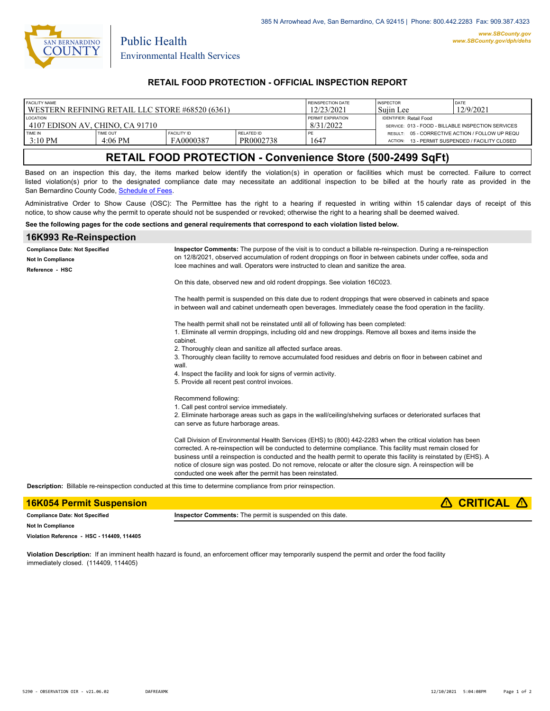

Public Health

### **RETAIL FOOD PROTECTION - OFFICIAL INSPECTION REPORT**

| <b>FACILITY NAME</b>                            |                              |                                 | REINSPECTION DATE              | <b>INSPECTOR</b>                                   | <b>DATE</b>                                                |                                         |
|-------------------------------------------------|------------------------------|---------------------------------|--------------------------------|----------------------------------------------------|------------------------------------------------------------|-----------------------------------------|
| WESTERN REFINING RETAIL LLC STORE #68520 (6361) |                              |                                 | 12/23/2021                     | 'Suiin Lee                                         | 12/9/2021                                                  |                                         |
| <b>LOCATION</b>                                 |                              |                                 | PERMIT EXPIRATION              | <b>IDENTIFIER: Retail Food</b>                     |                                                            |                                         |
| 4107 EDISON AV. CHINO. CA 91710                 |                              |                                 | 8/31/2022                      | SERVICE: 013 - FOOD - BILLABLE INSPECTION SERVICES |                                                            |                                         |
| TIME IN<br>$3:10$ PM                            | <b>TIME OUT</b><br>$4:06$ PM | <b>FACILITY ID</b><br>FA0000387 | <b>RELATED ID</b><br>PR0002738 | 1647                                               | RESULT: 05 - CORRECTIVE ACTION / FOLLOW UP REQU<br>ACTION: | 13 - PERMIT SUSPENDED / FACILITY CLOSED |

# **RETAIL FOOD PROTECTION - Convenience Store (500-2499 SqFt)**

Based on an inspection this day, the items marked below identify the violation(s) in operation or facilities which must be corrected. Failure to correct listed violation(s) prior to the designated compliance date may necessitate an additional inspection to be billed at the hourly rate as provided in the San Bernardino County Code, Schedule of Fees

Administrative Order to Show Cause (OSC): The Permittee has the right to a hearing if requested in writing within 15 calendar days of receipt of this notice, to show cause why the permit to operate should not be suspended or revoked; otherwise the right to a hearing shall be deemed waived.

#### **See the following pages for the code sections and general requirements that correspond to each violation listed below.**

### **16K993 Re-Reinspection Inspector Comments:** The purpose of the visit is to conduct a billable re-reinspection. During a re-reinspection on 12/8/2021, observed accumulation of rodent droppings on floor in between cabinets under coffee, soda and Icee machines and wall. Operators were instructed to clean and sanitize the area. On this date, observed new and old rodent droppings. See violation 16C023. The health permit is suspended on this date due to rodent droppings that were observed in cabinets and space in between wall and cabinet underneath open beverages. Immediately cease the food operation in the facility. The health permit shall not be reinstated until all of following has been completed: 1. Eliminate all vermin droppings, including old and new droppings. Remove all boxes and items inside the cabinet. 2. Thoroughly clean and sanitize all affected surface areas. 3. Thoroughly clean facility to remove accumulated food residues and debris on floor in between cabinet and wall 4. Inspect the facility and look for signs of vermin activity. 5. Provide all recent pest control invoices. Recommend following: 1. Call pest control service immediately. 2. Eliminate harborage areas such as gaps in the wall/ceiling/shelving surfaces or deteriorated surfaces that can serve as future harborage areas. Call Division of Environmental Health Services (EHS) to (800) 442-2283 when the critical violation has been corrected. A re-reinspection will be conducted to determine compliance. This facility must remain closed for business until a reinspection is conducted and the health permit to operate this facility is reinstated by (EHS). A notice of closure sign was posted. Do not remove, relocate or alter the closure sign. A reinspection will be conducted one week after the permit has been reinstated. **Compliance Date: Not Specified Reference - HSC Not In Compliance Description:** Billable re-reinspection conducted at this time to determine compliance from prior reinspection.

| <b>16K054 Permit Suspension</b>       |                                                                  | $\triangle$ CRITICAL $\triangle$ |
|---------------------------------------|------------------------------------------------------------------|----------------------------------|
| <b>Compliance Date: Not Specified</b> | <b>Inspector Comments:</b> The permit is suspended on this date. |                                  |
| <b>Not In Compliance</b>              |                                                                  |                                  |
| $10.1 - 11.2 - 21.5 - 10.8 - 11.00$   |                                                                  |                                  |

**Violation Reference - HSC - 114409, 114405**

**Violation Description:** If an imminent health hazard is found, an enforcement officer may temporarily suspend the permit and order the food facility immediately closed. (114409, 114405)